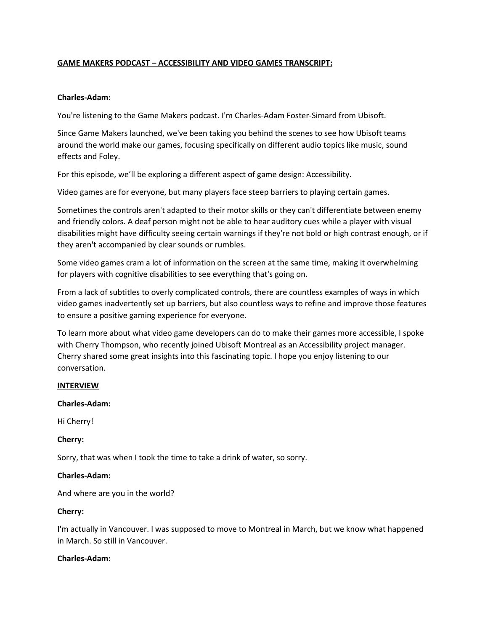# **GAME MAKERS PODCAST – ACCESSIBILITY AND VIDEO GAMES TRANSCRIPT:**

## **Charles-Adam:**

You're listening to the Game Makers podcast. I'm Charles-Adam Foster-Simard from Ubisoft.

Since Game Makers launched, we've been taking you behind the scenes to see how Ubisoft teams around the world make our games, focusing specifically on different audio topics like music, sound effects and Foley.

For this episode, we'll be exploring a different aspect of game design: Accessibility.

Video games are for everyone, but many players face steep barriers to playing certain games.

Sometimes the controls aren't adapted to their motor skills or they can't differentiate between enemy and friendly colors. A deaf person might not be able to hear auditory cues while a player with visual disabilities might have difficulty seeing certain warnings if they're not bold or high contrast enough, or if they aren't accompanied by clear sounds or rumbles.

Some video games cram a lot of information on the screen at the same time, making it overwhelming for players with cognitive disabilities to see everything that's going on.

From a lack of subtitles to overly complicated controls, there are countless examples of ways in which video games inadvertently set up barriers, but also countless ways to refine and improve those features to ensure a positive gaming experience for everyone.

To learn more about what video game developers can do to make their games more accessible, I spoke with Cherry Thompson, who recently joined Ubisoft Montreal as an Accessibility project manager. Cherry shared some great insights into this fascinating topic. I hope you enjoy listening to our conversation.

## **INTERVIEW**

### **Charles-Adam:**

Hi Cherry!

## **Cherry:**

Sorry, that was when I took the time to take a drink of water, so sorry.

### **Charles-Adam:**

And where are you in the world?

## **Cherry:**

I'm actually in Vancouver. I was supposed to move to Montreal in March, but we know what happened in March. So still in Vancouver.

### **Charles-Adam:**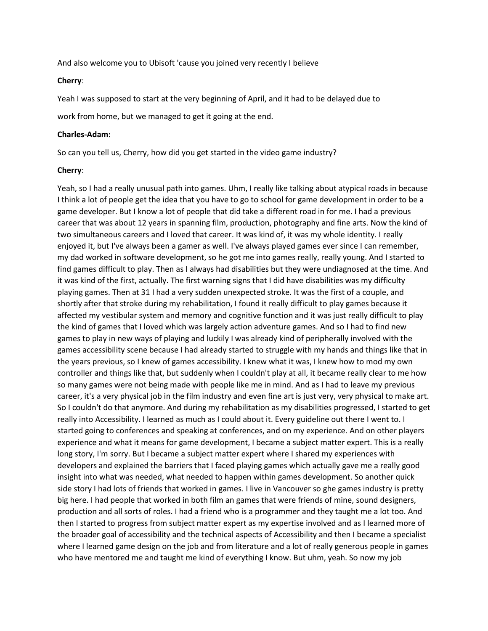And also welcome you to Ubisoft 'cause you joined very recently I believe

#### **Cherry**:

Yeah I was supposed to start at the very beginning of April, and it had to be delayed due to

work from home, but we managed to get it going at the end.

#### **Charles-Adam:**

So can you tell us, Cherry, how did you get started in the video game industry?

#### **Cherry**:

Yeah, so I had a really unusual path into games. Uhm, I really like talking about atypical roads in because I think a lot of people get the idea that you have to go to school for game development in order to be a game developer. But I know a lot of people that did take a different road in for me. I had a previous career that was about 12 years in spanning film, production, photography and fine arts. Now the kind of two simultaneous careers and I loved that career. It was kind of, it was my whole identity. I really enjoyed it, but I've always been a gamer as well. I've always played games ever since I can remember, my dad worked in software development, so he got me into games really, really young. And I started to find games difficult to play. Then as I always had disabilities but they were undiagnosed at the time. And it was kind of the first, actually. The first warning signs that I did have disabilities was my difficulty playing games. Then at 31 I had a very sudden unexpected stroke. It was the first of a couple, and shortly after that stroke during my rehabilitation, I found it really difficult to play games because it affected my vestibular system and memory and cognitive function and it was just really difficult to play the kind of games that I loved which was largely action adventure games. And so I had to find new games to play in new ways of playing and luckily I was already kind of peripherally involved with the games accessibility scene because I had already started to struggle with my hands and things like that in the years previous, so I knew of games accessibility. I knew what it was, I knew how to mod my own controller and things like that, but suddenly when I couldn't play at all, it became really clear to me how so many games were not being made with people like me in mind. And as I had to leave my previous career, it's a very physical job in the film industry and even fine art is just very, very physical to make art. So I couldn't do that anymore. And during my rehabilitation as my disabilities progressed, I started to get really into Accessibility. I learned as much as I could about it. Every guideline out there I went to. I started going to conferences and speaking at conferences, and on my experience. And on other players experience and what it means for game development, I became a subject matter expert. This is a really long story, I'm sorry. But I became a subject matter expert where I shared my experiences with developers and explained the barriers that I faced playing games which actually gave me a really good insight into what was needed, what needed to happen within games development. So another quick side story I had lots of friends that worked in games. I live in Vancouver so ghe games industry is pretty big here. I had people that worked in both film an games that were friends of mine, sound designers, production and all sorts of roles. I had a friend who is a programmer and they taught me a lot too. And then I started to progress from subject matter expert as my expertise involved and as I learned more of the broader goal of accessibility and the technical aspects of Accessibility and then I became a specialist where I learned game design on the job and from literature and a lot of really generous people in games who have mentored me and taught me kind of everything I know. But uhm, yeah. So now my job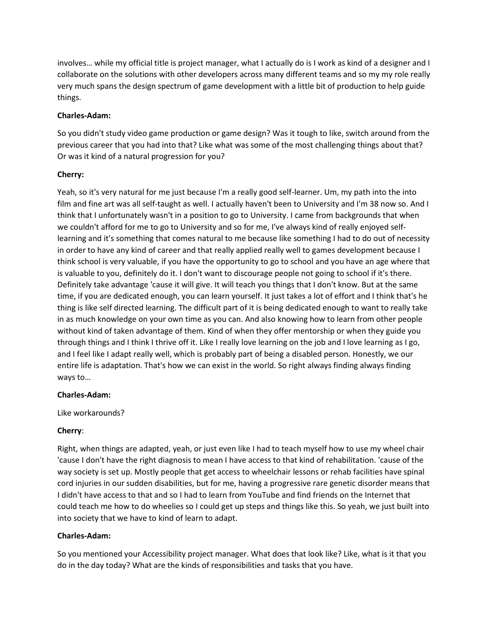involves… while my official title is project manager, what I actually do is I work as kind of a designer and I collaborate on the solutions with other developers across many different teams and so my my role really very much spans the design spectrum of game development with a little bit of production to help guide things.

## **Charles-Adam:**

So you didn't study video game production or game design? Was it tough to like, switch around from the previous career that you had into that? Like what was some of the most challenging things about that? Or was it kind of a natural progression for you?

# **Cherry:**

Yeah, so it's very natural for me just because I'm a really good self-learner. Um, my path into the into film and fine art was all self-taught as well. I actually haven't been to University and I'm 38 now so. And I think that I unfortunately wasn't in a position to go to University. I came from backgrounds that when we couldn't afford for me to go to University and so for me, I've always kind of really enjoyed selflearning and it's something that comes natural to me because like something I had to do out of necessity in order to have any kind of career and that really applied really well to games development because I think school is very valuable, if you have the opportunity to go to school and you have an age where that is valuable to you, definitely do it. I don't want to discourage people not going to school if it's there. Definitely take advantage 'cause it will give. It will teach you things that I don't know. But at the same time, if you are dedicated enough, you can learn yourself. It just takes a lot of effort and I think that's he thing is like self directed learning. The difficult part of it is being dedicated enough to want to really take in as much knowledge on your own time as you can. And also knowing how to learn from other people without kind of taken advantage of them. Kind of when they offer mentorship or when they guide you through things and I think I thrive off it. Like I really love learning on the job and I love learning as I go, and I feel like I adapt really well, which is probably part of being a disabled person. Honestly, we our entire life is adaptation. That's how we can exist in the world. So right always finding always finding ways to…

## **Charles-Adam:**

Like workarounds?

# **Cherry**:

Right, when things are adapted, yeah, or just even like I had to teach myself how to use my wheel chair 'cause I don't have the right diagnosis to mean I have access to that kind of rehabilitation. 'cause of the way society is set up. Mostly people that get access to wheelchair lessons or rehab facilities have spinal cord injuries in our sudden disabilities, but for me, having a progressive rare genetic disorder means that I didn't have access to that and so I had to learn from YouTube and find friends on the Internet that could teach me how to do wheelies so I could get up steps and things like this. So yeah, we just built into into society that we have to kind of learn to adapt.

## **Charles-Adam:**

So you mentioned your Accessibility project manager. What does that look like? Like, what is it that you do in the day today? What are the kinds of responsibilities and tasks that you have.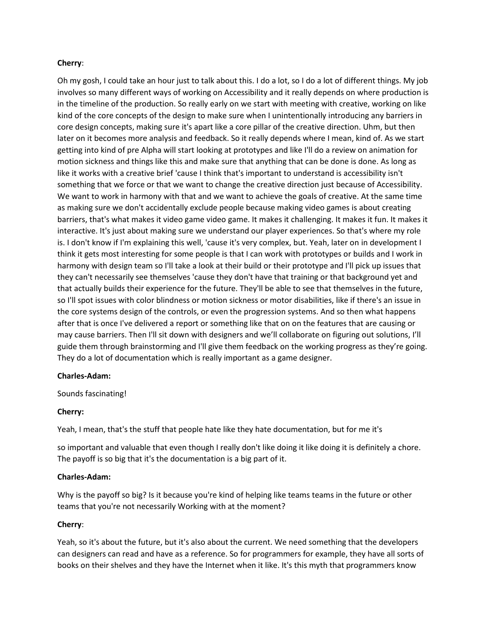## **Cherry**:

Oh my gosh, I could take an hour just to talk about this. I do a lot, so I do a lot of different things. My job involves so many different ways of working on Accessibility and it really depends on where production is in the timeline of the production. So really early on we start with meeting with creative, working on like kind of the core concepts of the design to make sure when I unintentionally introducing any barriers in core design concepts, making sure it's apart like a core pillar of the creative direction. Uhm, but then later on it becomes more analysis and feedback. So it really depends where I mean, kind of. As we start getting into kind of pre Alpha will start looking at prototypes and like I'll do a review on animation for motion sickness and things like this and make sure that anything that can be done is done. As long as like it works with a creative brief 'cause I think that's important to understand is accessibility isn't something that we force or that we want to change the creative direction just because of Accessibility. We want to work in harmony with that and we want to achieve the goals of creative. At the same time as making sure we don't accidentally exclude people because making video games is about creating barriers, that's what makes it video game video game. It makes it challenging. It makes it fun. It makes it interactive. It's just about making sure we understand our player experiences. So that's where my role is. I don't know if I'm explaining this well, 'cause it's very complex, but. Yeah, later on in development I think it gets most interesting for some people is that I can work with prototypes or builds and I work in harmony with design team so I'll take a look at their build or their prototype and I'll pick up issues that they can't necessarily see themselves 'cause they don't have that training or that background yet and that actually builds their experience for the future. They'll be able to see that themselves in the future, so I'll spot issues with color blindness or motion sickness or motor disabilities, like if there's an issue in the core systems design of the controls, or even the progression systems. And so then what happens after that is once I've delivered a report or something like that on on the features that are causing or may cause barriers. Then I'll sit down with designers and we'll collaborate on figuring out solutions, I'll guide them through brainstorming and I'll give them feedback on the working progress as they're going. They do a lot of documentation which is really important as a game designer.

### **Charles-Adam:**

Sounds fascinating!

## **Cherry:**

Yeah, I mean, that's the stuff that people hate like they hate documentation, but for me it's

so important and valuable that even though I really don't like doing it like doing it is definitely a chore. The payoff is so big that it's the documentation is a big part of it.

### **Charles-Adam:**

Why is the payoff so big? Is it because you're kind of helping like teams teams in the future or other teams that you're not necessarily Working with at the moment?

## **Cherry**:

Yeah, so it's about the future, but it's also about the current. We need something that the developers can designers can read and have as a reference. So for programmers for example, they have all sorts of books on their shelves and they have the Internet when it like. It's this myth that programmers know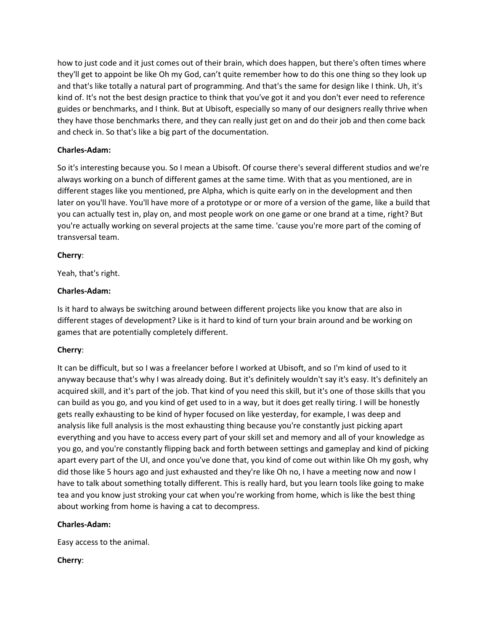how to just code and it just comes out of their brain, which does happen, but there's often times where they'll get to appoint be like Oh my God, can't quite remember how to do this one thing so they look up and that's like totally a natural part of programming. And that's the same for design like I think. Uh, it's kind of. It's not the best design practice to think that you've got it and you don't ever need to reference guides or benchmarks, and I think. But at Ubisoft, especially so many of our designers really thrive when they have those benchmarks there, and they can really just get on and do their job and then come back and check in. So that's like a big part of the documentation.

## **Charles-Adam:**

So it's interesting because you. So I mean a Ubisoft. Of course there's several different studios and we're always working on a bunch of different games at the same time. With that as you mentioned, are in different stages like you mentioned, pre Alpha, which is quite early on in the development and then later on you'll have. You'll have more of a prototype or or more of a version of the game, like a build that you can actually test in, play on, and most people work on one game or one brand at a time, right? But you're actually working on several projects at the same time. 'cause you're more part of the coming of transversal team.

# **Cherry**:

Yeah, that's right.

# **Charles-Adam:**

Is it hard to always be switching around between different projects like you know that are also in different stages of development? Like is it hard to kind of turn your brain around and be working on games that are potentially completely different.

## **Cherry**:

It can be difficult, but so I was a freelancer before I worked at Ubisoft, and so I'm kind of used to it anyway because that's why I was already doing. But it's definitely wouldn't say it's easy. It's definitely an acquired skill, and it's part of the job. That kind of you need this skill, but it's one of those skills that you can build as you go, and you kind of get used to in a way, but it does get really tiring. I will be honestly gets really exhausting to be kind of hyper focused on like yesterday, for example, I was deep and analysis like full analysis is the most exhausting thing because you're constantly just picking apart everything and you have to access every part of your skill set and memory and all of your knowledge as you go, and you're constantly flipping back and forth between settings and gameplay and kind of picking apart every part of the UI, and once you've done that, you kind of come out within like Oh my gosh, why did those like 5 hours ago and just exhausted and they're like Oh no, I have a meeting now and now I have to talk about something totally different. This is really hard, but you learn tools like going to make tea and you know just stroking your cat when you're working from home, which is like the best thing about working from home is having a cat to decompress.

## **Charles-Adam:**

Easy access to the animal.

# **Cherry**: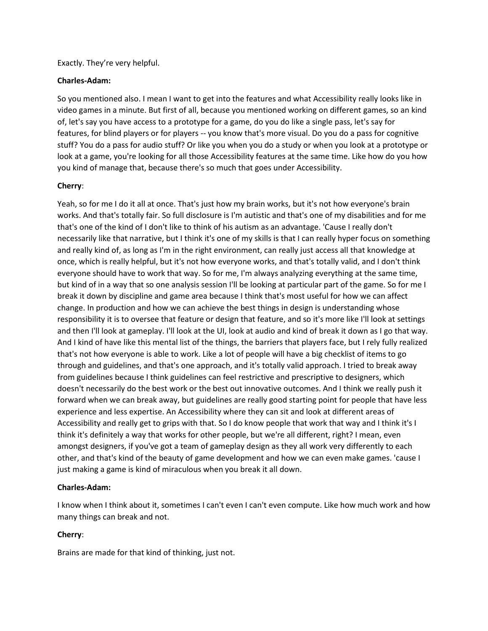Exactly. They're very helpful.

## **Charles-Adam:**

So you mentioned also. I mean I want to get into the features and what Accessibility really looks like in video games in a minute. But first of all, because you mentioned working on different games, so an kind of, let's say you have access to a prototype for a game, do you do like a single pass, let's say for features, for blind players or for players -- you know that's more visual. Do you do a pass for cognitive stuff? You do a pass for audio stuff? Or like you when you do a study or when you look at a prototype or look at a game, you're looking for all those Accessibility features at the same time. Like how do you how you kind of manage that, because there's so much that goes under Accessibility.

## **Cherry**:

Yeah, so for me I do it all at once. That's just how my brain works, but it's not how everyone's brain works. And that's totally fair. So full disclosure is I'm autistic and that's one of my disabilities and for me that's one of the kind of I don't like to think of his autism as an advantage. 'Cause I really don't necessarily like that narrative, but I think it's one of my skills is that I can really hyper focus on something and really kind of, as long as I'm in the right environment, can really just access all that knowledge at once, which is really helpful, but it's not how everyone works, and that's totally valid, and I don't think everyone should have to work that way. So for me, I'm always analyzing everything at the same time, but kind of in a way that so one analysis session I'll be looking at particular part of the game. So for me I break it down by discipline and game area because I think that's most useful for how we can affect change. In production and how we can achieve the best things in design is understanding whose responsibility it is to oversee that feature or design that feature, and so it's more like I'll look at settings and then I'll look at gameplay. I'll look at the UI, look at audio and kind of break it down as I go that way. And I kind of have like this mental list of the things, the barriers that players face, but I rely fully realized that's not how everyone is able to work. Like a lot of people will have a big checklist of items to go through and guidelines, and that's one approach, and it's totally valid approach. I tried to break away from guidelines because I think guidelines can feel restrictive and prescriptive to designers, which doesn't necessarily do the best work or the best out innovative outcomes. And I think we really push it forward when we can break away, but guidelines are really good starting point for people that have less experience and less expertise. An Accessibility where they can sit and look at different areas of Accessibility and really get to grips with that. So I do know people that work that way and I think it's I think it's definitely a way that works for other people, but we're all different, right? I mean, even amongst designers, if you've got a team of gameplay design as they all work very differently to each other, and that's kind of the beauty of game development and how we can even make games. 'cause I just making a game is kind of miraculous when you break it all down.

## **Charles-Adam:**

I know when I think about it, sometimes I can't even I can't even compute. Like how much work and how many things can break and not.

# **Cherry**:

Brains are made for that kind of thinking, just not.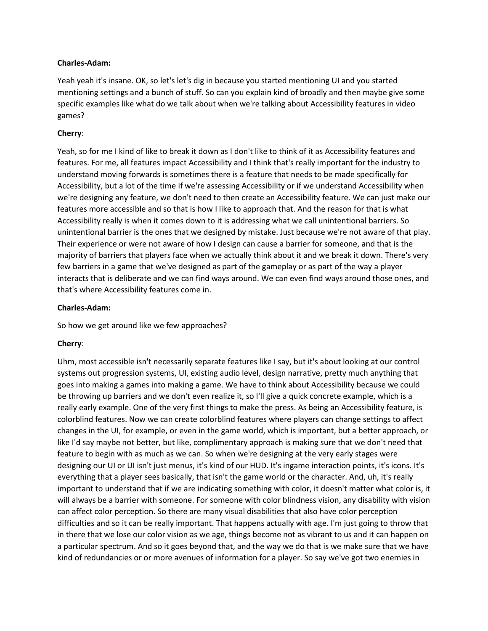Yeah yeah it's insane. OK, so let's let's dig in because you started mentioning UI and you started mentioning settings and a bunch of stuff. So can you explain kind of broadly and then maybe give some specific examples like what do we talk about when we're talking about Accessibility features in video games?

## **Cherry**:

Yeah, so for me I kind of like to break it down as I don't like to think of it as Accessibility features and features. For me, all features impact Accessibility and I think that's really important for the industry to understand moving forwards is sometimes there is a feature that needs to be made specifically for Accessibility, but a lot of the time if we're assessing Accessibility or if we understand Accessibility when we're designing any feature, we don't need to then create an Accessibility feature. We can just make our features more accessible and so that is how I like to approach that. And the reason for that is what Accessibility really is when it comes down to it is addressing what we call unintentional barriers. So unintentional barrier is the ones that we designed by mistake. Just because we're not aware of that play. Their experience or were not aware of how I design can cause a barrier for someone, and that is the majority of barriers that players face when we actually think about it and we break it down. There's very few barriers in a game that we've designed as part of the gameplay or as part of the way a player interacts that is deliberate and we can find ways around. We can even find ways around those ones, and that's where Accessibility features come in.

## **Charles-Adam:**

So how we get around like we few approaches?

## **Cherry**:

Uhm, most accessible isn't necessarily separate features like I say, but it's about looking at our control systems out progression systems, UI, existing audio level, design narrative, pretty much anything that goes into making a games into making a game. We have to think about Accessibility because we could be throwing up barriers and we don't even realize it, so I'll give a quick concrete example, which is a really early example. One of the very first things to make the press. As being an Accessibility feature, is colorblind features. Now we can create colorblind features where players can change settings to affect changes in the UI, for example, or even in the game world, which is important, but a better approach, or like I'd say maybe not better, but like, complimentary approach is making sure that we don't need that feature to begin with as much as we can. So when we're designing at the very early stages were designing our UI or UI isn't just menus, it's kind of our HUD. It's ingame interaction points, it's icons. It's everything that a player sees basically, that isn't the game world or the character. And, uh, it's really important to understand that if we are indicating something with color, it doesn't matter what color is, it will always be a barrier with someone. For someone with color blindness vision, any disability with vision can affect color perception. So there are many visual disabilities that also have color perception difficulties and so it can be really important. That happens actually with age. I'm just going to throw that in there that we lose our color vision as we age, things become not as vibrant to us and it can happen on a particular spectrum. And so it goes beyond that, and the way we do that is we make sure that we have kind of redundancies or or more avenues of information for a player. So say we've got two enemies in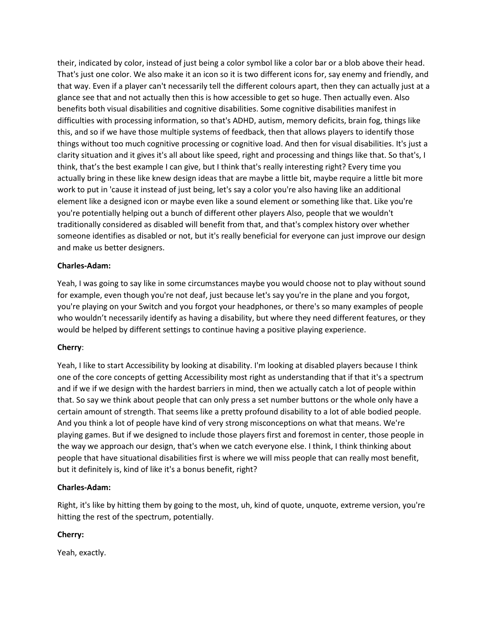their, indicated by color, instead of just being a color symbol like a color bar or a blob above their head. That's just one color. We also make it an icon so it is two different icons for, say enemy and friendly, and that way. Even if a player can't necessarily tell the different colours apart, then they can actually just at a glance see that and not actually then this is how accessible to get so huge. Then actually even. Also benefits both visual disabilities and cognitive disabilities. Some cognitive disabilities manifest in difficulties with processing information, so that's ADHD, autism, memory deficits, brain fog, things like this, and so if we have those multiple systems of feedback, then that allows players to identify those things without too much cognitive processing or cognitive load. And then for visual disabilities. It's just a clarity situation and it gives it's all about like speed, right and processing and things like that. So that's, I think, that's the best example I can give, but I think that's really interesting right? Every time you actually bring in these like knew design ideas that are maybe a little bit, maybe require a little bit more work to put in 'cause it instead of just being, let's say a color you're also having like an additional element like a designed icon or maybe even like a sound element or something like that. Like you're you're potentially helping out a bunch of different other players Also, people that we wouldn't traditionally considered as disabled will benefit from that, and that's complex history over whether someone identifies as disabled or not, but it's really beneficial for everyone can just improve our design and make us better designers.

# **Charles-Adam:**

Yeah, I was going to say like in some circumstances maybe you would choose not to play without sound for example, even though you're not deaf, just because let's say you're in the plane and you forgot, you're playing on your Switch and you forgot your headphones, or there's so many examples of people who wouldn't necessarily identify as having a disability, but where they need different features, or they would be helped by different settings to continue having a positive playing experience.

# **Cherry**:

Yeah, I like to start Accessibility by looking at disability. I'm looking at disabled players because I think one of the core concepts of getting Accessibility most right as understanding that if that it's a spectrum and if we if we design with the hardest barriers in mind, then we actually catch a lot of people within that. So say we think about people that can only press a set number buttons or the whole only have a certain amount of strength. That seems like a pretty profound disability to a lot of able bodied people. And you think a lot of people have kind of very strong misconceptions on what that means. We're playing games. But if we designed to include those players first and foremost in center, those people in the way we approach our design, that's when we catch everyone else. I think, I think thinking about people that have situational disabilities first is where we will miss people that can really most benefit, but it definitely is, kind of like it's a bonus benefit, right?

## **Charles-Adam:**

Right, it's like by hitting them by going to the most, uh, kind of quote, unquote, extreme version, you're hitting the rest of the spectrum, potentially.

# **Cherry:**

Yeah, exactly.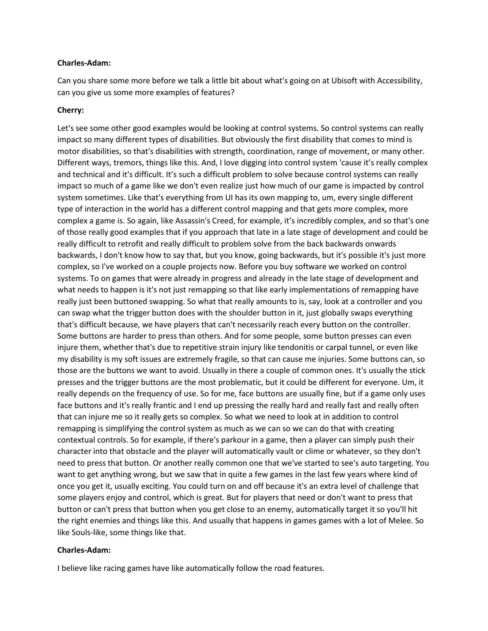Can you share some more before we talk a little bit about what's going on at Ubisoft with Accessibility, can you give us some more examples of features?

## **Cherry:**

Let's see some other good examples would be looking at control systems. So control systems can really impact so many different types of disabilities. But obviously the first disability that comes to mind is motor disabilities, so that's disabilities with strength, coordination, range of movement, or many other. Different ways, tremors, things like this. And, I love digging into control system 'cause it's really complex and technical and it's difficult. It's such a difficult problem to solve because control systems can really impact so much of a game like we don't even realize just how much of our game is impacted by control system sometimes. Like that's everything from UI has its own mapping to, um, every single different type of interaction in the world has a different control mapping and that gets more complex, more complex a game is. So again, like Assassin's Creed, for example, it's incredibly complex, and so that's one of those really good examples that if you approach that late in a late stage of development and could be really difficult to retrofit and really difficult to problem solve from the back backwards onwards backwards, I don't know how to say that, but you know, going backwards, but it's possible it's just more complex, so I've worked on a couple projects now. Before you buy software we worked on control systems. To on games that were already in progress and already in the late stage of development and what needs to happen is it's not just remapping so that like early implementations of remapping have really just been buttoned swapping. So what that really amounts to is, say, look at a controller and you can swap what the trigger button does with the shoulder button in it, just globally swaps everything that's difficult because, we have players that can't necessarily reach every button on the controller. Some buttons are harder to press than others. And for some people, some button presses can even injure them, whether that's due to repetitive strain injury like tendonitis or carpal tunnel, or even like my disability is my soft issues are extremely fragile, so that can cause me injuries. Some buttons can, so those are the buttons we want to avoid. Usually in there a couple of common ones. It's usually the stick presses and the trigger buttons are the most problematic, but it could be different for everyone. Um, it really depends on the frequency of use. So for me, face buttons are usually fine, but if a game only uses face buttons and it's really frantic and I end up pressing the really hard and really fast and really often that can injure me so it really gets so complex. So what we need to look at in addition to control remapping is simplifying the control system as much as we can so we can do that with creating contextual controls. So for example, if there's parkour in a game, then a player can simply push their character into that obstacle and the player will automatically vault or clime or whatever, so they don't need to press that button. Or another really common one that we've started to see's auto targeting. You want to get anything wrong, but we saw that in quite a few games in the last few years where kind of once you get it, usually exciting. You could turn on and off because it's an extra level of challenge that some players enjoy and control, which is great. But for players that need or don't want to press that button or can't press that button when you get close to an enemy, automatically target it so you'll hit the right enemies and things like this. And usually that happens in games games with a lot of Melee. So like Souls-like, some things like that.

### **Charles-Adam:**

I believe like racing games have like automatically follow the road features.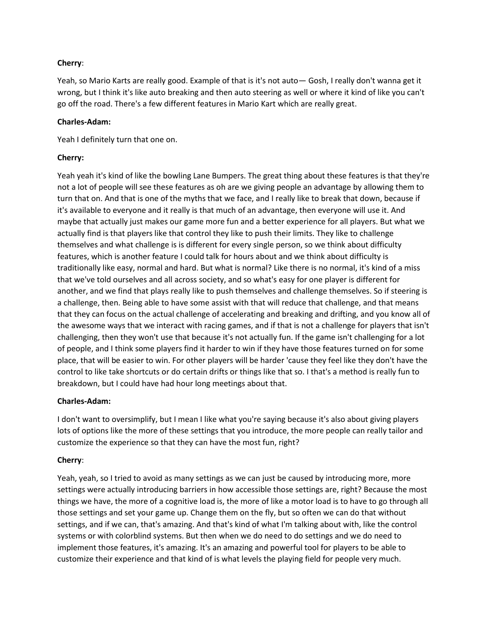# **Cherry**:

Yeah, so Mario Karts are really good. Example of that is it's not auto— Gosh, I really don't wanna get it wrong, but I think it's like auto breaking and then auto steering as well or where it kind of like you can't go off the road. There's a few different features in Mario Kart which are really great.

## **Charles-Adam:**

Yeah I definitely turn that one on.

# **Cherry:**

Yeah yeah it's kind of like the bowling Lane Bumpers. The great thing about these features is that they're not a lot of people will see these features as oh are we giving people an advantage by allowing them to turn that on. And that is one of the myths that we face, and I really like to break that down, because if it's available to everyone and it really is that much of an advantage, then everyone will use it. And maybe that actually just makes our game more fun and a better experience for all players. But what we actually find is that players like that control they like to push their limits. They like to challenge themselves and what challenge is is different for every single person, so we think about difficulty features, which is another feature I could talk for hours about and we think about difficulty is traditionally like easy, normal and hard. But what is normal? Like there is no normal, it's kind of a miss that we've told ourselves and all across society, and so what's easy for one player is different for another, and we find that plays really like to push themselves and challenge themselves. So if steering is a challenge, then. Being able to have some assist with that will reduce that challenge, and that means that they can focus on the actual challenge of accelerating and breaking and drifting, and you know all of the awesome ways that we interact with racing games, and if that is not a challenge for players that isn't challenging, then they won't use that because it's not actually fun. If the game isn't challenging for a lot of people, and I think some players find it harder to win if they have those features turned on for some place, that will be easier to win. For other players will be harder 'cause they feel like they don't have the control to like take shortcuts or do certain drifts or things like that so. I that's a method is really fun to breakdown, but I could have had hour long meetings about that.

# **Charles-Adam:**

I don't want to oversimplify, but I mean I like what you're saying because it's also about giving players lots of options like the more of these settings that you introduce, the more people can really tailor and customize the experience so that they can have the most fun, right?

# **Cherry**:

Yeah, yeah, so I tried to avoid as many settings as we can just be caused by introducing more, more settings were actually introducing barriers in how accessible those settings are, right? Because the most things we have, the more of a cognitive load is, the more of like a motor load is to have to go through all those settings and set your game up. Change them on the fly, but so often we can do that without settings, and if we can, that's amazing. And that's kind of what I'm talking about with, like the control systems or with colorblind systems. But then when we do need to do settings and we do need to implement those features, it's amazing. It's an amazing and powerful tool for players to be able to customize their experience and that kind of is what levels the playing field for people very much.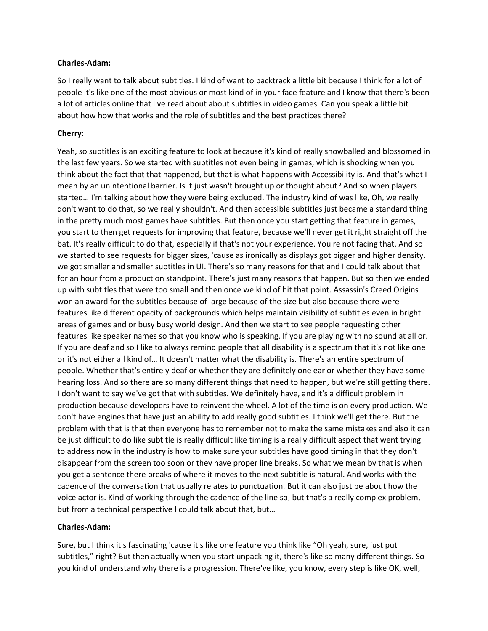So I really want to talk about subtitles. I kind of want to backtrack a little bit because I think for a lot of people it's like one of the most obvious or most kind of in your face feature and I know that there's been a lot of articles online that I've read about about subtitles in video games. Can you speak a little bit about how how that works and the role of subtitles and the best practices there?

## **Cherry**:

Yeah, so subtitles is an exciting feature to look at because it's kind of really snowballed and blossomed in the last few years. So we started with subtitles not even being in games, which is shocking when you think about the fact that that happened, but that is what happens with Accessibility is. And that's what I mean by an unintentional barrier. Is it just wasn't brought up or thought about? And so when players started… I'm talking about how they were being excluded. The industry kind of was like, Oh, we really don't want to do that, so we really shouldn't. And then accessible subtitles just became a standard thing in the pretty much most games have subtitles. But then once you start getting that feature in games, you start to then get requests for improving that feature, because we'll never get it right straight off the bat. It's really difficult to do that, especially if that's not your experience. You're not facing that. And so we started to see requests for bigger sizes, 'cause as ironically as displays got bigger and higher density, we got smaller and smaller subtitles in UI. There's so many reasons for that and I could talk about that for an hour from a production standpoint. There's just many reasons that happen. But so then we ended up with subtitles that were too small and then once we kind of hit that point. Assassin's Creed Origins won an award for the subtitles because of large because of the size but also because there were features like different opacity of backgrounds which helps maintain visibility of subtitles even in bright areas of games and or busy busy world design. And then we start to see people requesting other features like speaker names so that you know who is speaking. If you are playing with no sound at all or. If you are deaf and so I like to always remind people that all disability is a spectrum that it's not like one or it's not either all kind of… It doesn't matter what the disability is. There's an entire spectrum of people. Whether that's entirely deaf or whether they are definitely one ear or whether they have some hearing loss. And so there are so many different things that need to happen, but we're still getting there. I don't want to say we've got that with subtitles. We definitely have, and it's a difficult problem in production because developers have to reinvent the wheel. A lot of the time is on every production. We don't have engines that have just an ability to add really good subtitles. I think we'll get there. But the problem with that is that then everyone has to remember not to make the same mistakes and also it can be just difficult to do like subtitle is really difficult like timing is a really difficult aspect that went trying to address now in the industry is how to make sure your subtitles have good timing in that they don't disappear from the screen too soon or they have proper line breaks. So what we mean by that is when you get a sentence there breaks of where it moves to the next subtitle is natural. And works with the cadence of the conversation that usually relates to punctuation. But it can also just be about how the voice actor is. Kind of working through the cadence of the line so, but that's a really complex problem, but from a technical perspective I could talk about that, but…

## **Charles-Adam:**

Sure, but I think it's fascinating 'cause it's like one feature you think like "Oh yeah, sure, just put subtitles," right? But then actually when you start unpacking it, there's like so many different things. So you kind of understand why there is a progression. There've like, you know, every step is like OK, well,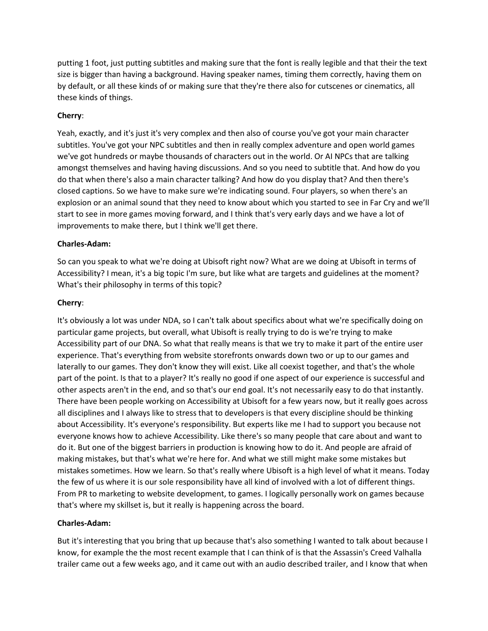putting 1 foot, just putting subtitles and making sure that the font is really legible and that their the text size is bigger than having a background. Having speaker names, timing them correctly, having them on by default, or all these kinds of or making sure that they're there also for cutscenes or cinematics, all these kinds of things.

## **Cherry**:

Yeah, exactly, and it's just it's very complex and then also of course you've got your main character subtitles. You've got your NPC subtitles and then in really complex adventure and open world games we've got hundreds or maybe thousands of characters out in the world. Or AI NPCs that are talking amongst themselves and having having discussions. And so you need to subtitle that. And how do you do that when there's also a main character talking? And how do you display that? And then there's closed captions. So we have to make sure we're indicating sound. Four players, so when there's an explosion or an animal sound that they need to know about which you started to see in Far Cry and we'll start to see in more games moving forward, and I think that's very early days and we have a lot of improvements to make there, but I think we'll get there.

# **Charles-Adam:**

So can you speak to what we're doing at Ubisoft right now? What are we doing at Ubisoft in terms of Accessibility? I mean, it's a big topic I'm sure, but like what are targets and guidelines at the moment? What's their philosophy in terms of this topic?

# **Cherry**:

It's obviously a lot was under NDA, so I can't talk about specifics about what we're specifically doing on particular game projects, but overall, what Ubisoft is really trying to do is we're trying to make Accessibility part of our DNA. So what that really means is that we try to make it part of the entire user experience. That's everything from website storefronts onwards down two or up to our games and laterally to our games. They don't know they will exist. Like all coexist together, and that's the whole part of the point. Is that to a player? It's really no good if one aspect of our experience is successful and other aspects aren't in the end, and so that's our end goal. It's not necessarily easy to do that instantly. There have been people working on Accessibility at Ubisoft for a few years now, but it really goes across all disciplines and I always like to stress that to developers is that every discipline should be thinking about Accessibility. It's everyone's responsibility. But experts like me I had to support you because not everyone knows how to achieve Accessibility. Like there's so many people that care about and want to do it. But one of the biggest barriers in production is knowing how to do it. And people are afraid of making mistakes, but that's what we're here for. And what we still might make some mistakes but mistakes sometimes. How we learn. So that's really where Ubisoft is a high level of what it means. Today the few of us where it is our sole responsibility have all kind of involved with a lot of different things. From PR to marketing to website development, to games. I logically personally work on games because that's where my skillset is, but it really is happening across the board.

## **Charles-Adam:**

But it's interesting that you bring that up because that's also something I wanted to talk about because I know, for example the the most recent example that I can think of is that the Assassin's Creed Valhalla trailer came out a few weeks ago, and it came out with an audio described trailer, and I know that when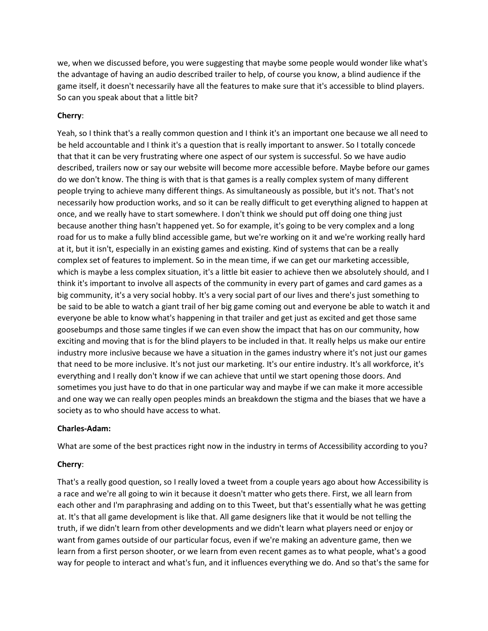we, when we discussed before, you were suggesting that maybe some people would wonder like what's the advantage of having an audio described trailer to help, of course you know, a blind audience if the game itself, it doesn't necessarily have all the features to make sure that it's accessible to blind players. So can you speak about that a little bit?

# **Cherry**:

Yeah, so I think that's a really common question and I think it's an important one because we all need to be held accountable and I think it's a question that is really important to answer. So I totally concede that that it can be very frustrating where one aspect of our system is successful. So we have audio described, trailers now or say our website will become more accessible before. Maybe before our games do we don't know. The thing is with that is that games is a really complex system of many different people trying to achieve many different things. As simultaneously as possible, but it's not. That's not necessarily how production works, and so it can be really difficult to get everything aligned to happen at once, and we really have to start somewhere. I don't think we should put off doing one thing just because another thing hasn't happened yet. So for example, it's going to be very complex and a long road for us to make a fully blind accessible game, but we're working on it and we're working really hard at it, but it isn't, especially in an existing games and existing. Kind of systems that can be a really complex set of features to implement. So in the mean time, if we can get our marketing accessible, which is maybe a less complex situation, it's a little bit easier to achieve then we absolutely should, and I think it's important to involve all aspects of the community in every part of games and card games as a big community, it's a very social hobby. It's a very social part of our lives and there's just something to be said to be able to watch a giant trail of her big game coming out and everyone be able to watch it and everyone be able to know what's happening in that trailer and get just as excited and get those same goosebumps and those same tingles if we can even show the impact that has on our community, how exciting and moving that is for the blind players to be included in that. It really helps us make our entire industry more inclusive because we have a situation in the games industry where it's not just our games that need to be more inclusive. It's not just our marketing. It's our entire industry. It's all workforce, it's everything and I really don't know if we can achieve that until we start opening those doors. And sometimes you just have to do that in one particular way and maybe if we can make it more accessible and one way we can really open peoples minds an breakdown the stigma and the biases that we have a society as to who should have access to what.

## **Charles-Adam:**

What are some of the best practices right now in the industry in terms of Accessibility according to you?

# **Cherry**:

That's a really good question, so I really loved a tweet from a couple years ago about how Accessibility is a race and we're all going to win it because it doesn't matter who gets there. First, we all learn from each other and I'm paraphrasing and adding on to this Tweet, but that's essentially what he was getting at. It's that all game development is like that. All game designers like that it would be not telling the truth, if we didn't learn from other developments and we didn't learn what players need or enjoy or want from games outside of our particular focus, even if we're making an adventure game, then we learn from a first person shooter, or we learn from even recent games as to what people, what's a good way for people to interact and what's fun, and it influences everything we do. And so that's the same for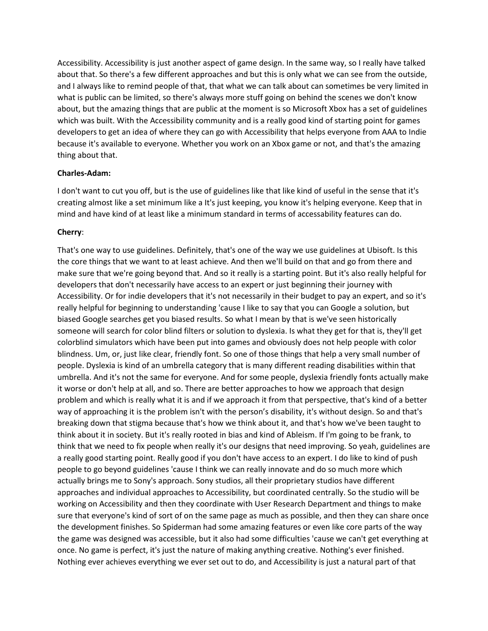Accessibility. Accessibility is just another aspect of game design. In the same way, so I really have talked about that. So there's a few different approaches and but this is only what we can see from the outside, and I always like to remind people of that, that what we can talk about can sometimes be very limited in what is public can be limited, so there's always more stuff going on behind the scenes we don't know about, but the amazing things that are public at the moment is so Microsoft Xbox has a set of guidelines which was built. With the Accessibility community and is a really good kind of starting point for games developers to get an idea of where they can go with Accessibility that helps everyone from AAA to Indie because it's available to everyone. Whether you work on an Xbox game or not, and that's the amazing thing about that.

### **Charles-Adam:**

I don't want to cut you off, but is the use of guidelines like that like kind of useful in the sense that it's creating almost like a set minimum like a It's just keeping, you know it's helping everyone. Keep that in mind and have kind of at least like a minimum standard in terms of accessability features can do.

## **Cherry**:

That's one way to use guidelines. Definitely, that's one of the way we use guidelines at Ubisoft. Is this the core things that we want to at least achieve. And then we'll build on that and go from there and make sure that we're going beyond that. And so it really is a starting point. But it's also really helpful for developers that don't necessarily have access to an expert or just beginning their journey with Accessibility. Or for indie developers that it's not necessarily in their budget to pay an expert, and so it's really helpful for beginning to understanding 'cause I like to say that you can Google a solution, but biased Google searches get you biased results. So what I mean by that is we've seen historically someone will search for color blind filters or solution to dyslexia. Is what they get for that is, they'll get colorblind simulators which have been put into games and obviously does not help people with color blindness. Um, or, just like clear, friendly font. So one of those things that help a very small number of people. Dyslexia is kind of an umbrella category that is many different reading disabilities within that umbrella. And it's not the same for everyone. And for some people, dyslexia friendly fonts actually make it worse or don't help at all, and so. There are better approaches to how we approach that design problem and which is really what it is and if we approach it from that perspective, that's kind of a better way of approaching it is the problem isn't with the person's disability, it's without design. So and that's breaking down that stigma because that's how we think about it, and that's how we've been taught to think about it in society. But it's really rooted in bias and kind of Ableism. If I'm going to be frank, to think that we need to fix people when really it's our designs that need improving. So yeah, guidelines are a really good starting point. Really good if you don't have access to an expert. I do like to kind of push people to go beyond guidelines 'cause I think we can really innovate and do so much more which actually brings me to Sony's approach. Sony studios, all their proprietary studios have different approaches and individual approaches to Accessibility, but coordinated centrally. So the studio will be working on Accessibility and then they coordinate with User Research Department and things to make sure that everyone's kind of sort of on the same page as much as possible, and then they can share once the development finishes. So Spiderman had some amazing features or even like core parts of the way the game was designed was accessible, but it also had some difficulties 'cause we can't get everything at once. No game is perfect, it's just the nature of making anything creative. Nothing's ever finished. Nothing ever achieves everything we ever set out to do, and Accessibility is just a natural part of that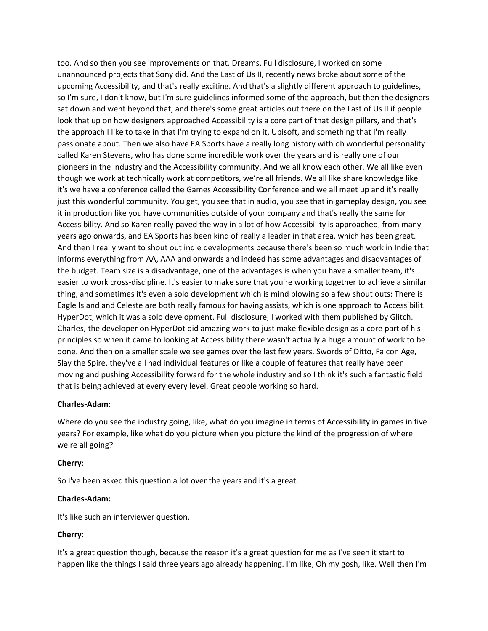too. And so then you see improvements on that. Dreams. Full disclosure, I worked on some unannounced projects that Sony did. And the Last of Us II, recently news broke about some of the upcoming Accessibility, and that's really exciting. And that's a slightly different approach to guidelines, so I'm sure, I don't know, but I'm sure guidelines informed some of the approach, but then the designers sat down and went beyond that, and there's some great articles out there on the Last of Us II if people look that up on how designers approached Accessibility is a core part of that design pillars, and that's the approach I like to take in that I'm trying to expand on it, Ubisoft, and something that I'm really passionate about. Then we also have EA Sports have a really long history with oh wonderful personality called Karen Stevens, who has done some incredible work over the years and is really one of our pioneers in the industry and the Accessibility community. And we all know each other. We all like even though we work at technically work at competitors, we're all friends. We all like share knowledge like it's we have a conference called the Games Accessibility Conference and we all meet up and it's really just this wonderful community. You get, you see that in audio, you see that in gameplay design, you see it in production like you have communities outside of your company and that's really the same for Accessibility. And so Karen really paved the way in a lot of how Accessibility is approached, from many years ago onwards, and EA Sports has been kind of really a leader in that area, which has been great. And then I really want to shout out indie developments because there's been so much work in Indie that informs everything from AA, AAA and onwards and indeed has some advantages and disadvantages of the budget. Team size is a disadvantage, one of the advantages is when you have a smaller team, it's easier to work cross-discipline. It's easier to make sure that you're working together to achieve a similar thing, and sometimes it's even a solo development which is mind blowing so a few shout outs: There is Eagle Island and Celeste are both really famous for having assists, which is one approach to Accessibilit. HyperDot, which it was a solo development. Full disclosure, I worked with them published by Glitch. Charles, the developer on HyperDot did amazing work to just make flexible design as a core part of his principles so when it came to looking at Accessibility there wasn't actually a huge amount of work to be done. And then on a smaller scale we see games over the last few years. Swords of Ditto, Falcon Age, Slay the Spire, they've all had individual features or like a couple of features that really have been moving and pushing Accessibility forward for the whole industry and so I think it's such a fantastic field that is being achieved at every every level. Great people working so hard.

### **Charles-Adam:**

Where do you see the industry going, like, what do you imagine in terms of Accessibility in games in five years? For example, like what do you picture when you picture the kind of the progression of where we're all going?

### **Cherry**:

So I've been asked this question a lot over the years and it's a great.

### **Charles-Adam:**

It's like such an interviewer question.

## **Cherry**:

It's a great question though, because the reason it's a great question for me as I've seen it start to happen like the things I said three years ago already happening. I'm like, Oh my gosh, like. Well then I'm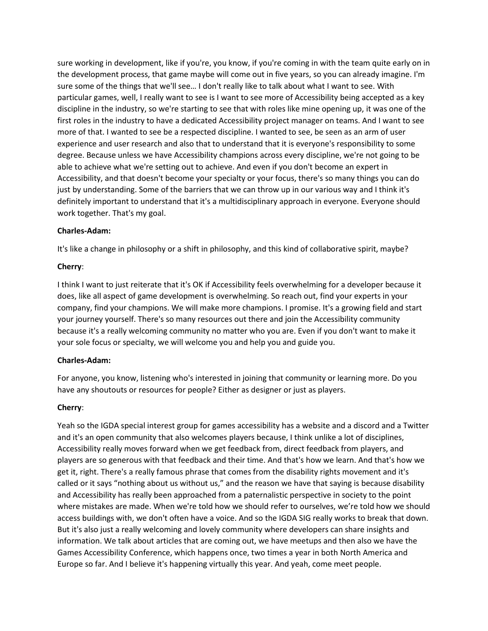sure working in development, like if you're, you know, if you're coming in with the team quite early on in the development process, that game maybe will come out in five years, so you can already imagine. I'm sure some of the things that we'll see… I don't really like to talk about what I want to see. With particular games, well, I really want to see is I want to see more of Accessibility being accepted as a key discipline in the industry, so we're starting to see that with roles like mine opening up, it was one of the first roles in the industry to have a dedicated Accessibility project manager on teams. And I want to see more of that. I wanted to see be a respected discipline. I wanted to see, be seen as an arm of user experience and user research and also that to understand that it is everyone's responsibility to some degree. Because unless we have Accessibility champions across every discipline, we're not going to be able to achieve what we're setting out to achieve. And even if you don't become an expert in Accessibility, and that doesn't become your specialty or your focus, there's so many things you can do just by understanding. Some of the barriers that we can throw up in our various way and I think it's definitely important to understand that it's a multidisciplinary approach in everyone. Everyone should work together. That's my goal.

## **Charles-Adam:**

It's like a change in philosophy or a shift in philosophy, and this kind of collaborative spirit, maybe?

## **Cherry**:

I think I want to just reiterate that it's OK if Accessibility feels overwhelming for a developer because it does, like all aspect of game development is overwhelming. So reach out, find your experts in your company, find your champions. We will make more champions. I promise. It's a growing field and start your journey yourself. There's so many resources out there and join the Accessibility community because it's a really welcoming community no matter who you are. Even if you don't want to make it your sole focus or specialty, we will welcome you and help you and guide you.

## **Charles-Adam:**

For anyone, you know, listening who's interested in joining that community or learning more. Do you have any shoutouts or resources for people? Either as designer or just as players.

## **Cherry**:

Yeah so the IGDA special interest group for games accessibility has a website and a discord and a Twitter and it's an open community that also welcomes players because, I think unlike a lot of disciplines, Accessibility really moves forward when we get feedback from, direct feedback from players, and players are so generous with that feedback and their time. And that's how we learn. And that's how we get it, right. There's a really famous phrase that comes from the disability rights movement and it's called or it says "nothing about us without us," and the reason we have that saying is because disability and Accessibility has really been approached from a paternalistic perspective in society to the point where mistakes are made. When we're told how we should refer to ourselves, we're told how we should access buildings with, we don't often have a voice. And so the IGDA SIG really works to break that down. But it's also just a really welcoming and lovely community where developers can share insights and information. We talk about articles that are coming out, we have meetups and then also we have the Games Accessibility Conference, which happens once, two times a year in both North America and Europe so far. And I believe it's happening virtually this year. And yeah, come meet people.